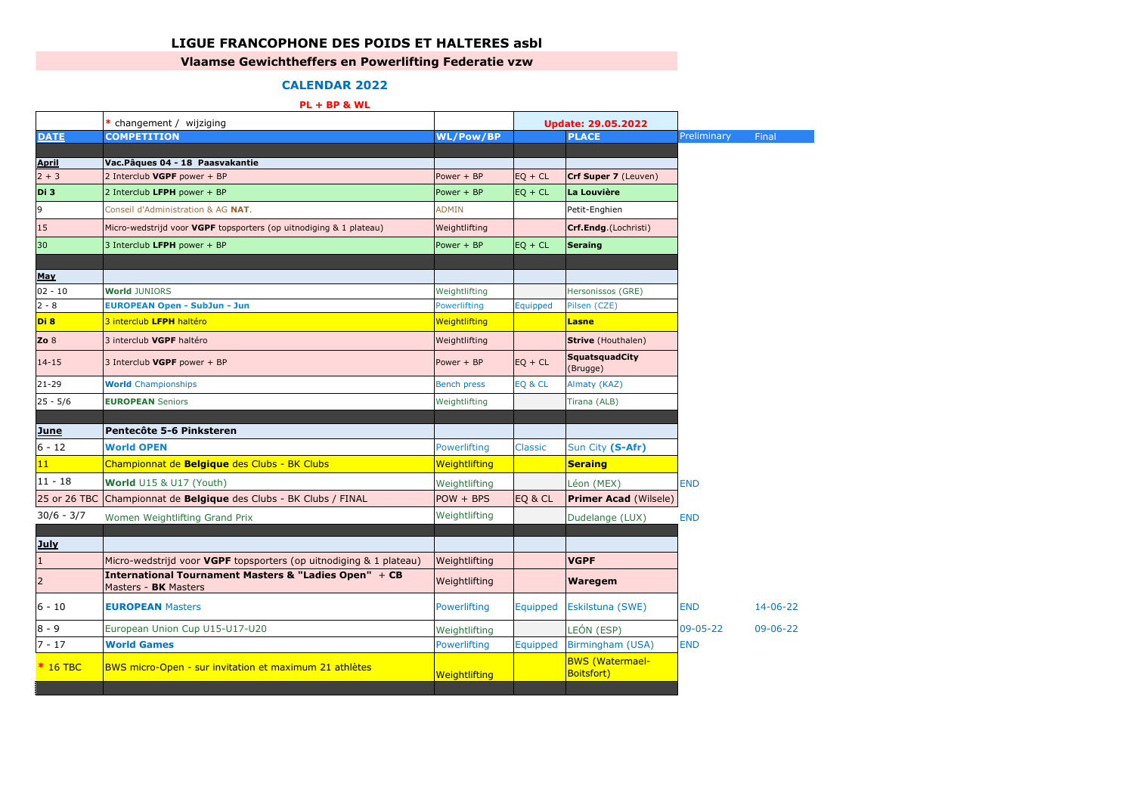## **LIGUE FRANCOPHONE DES POIDS ET HALTERES asbl**

## **Vlaamse Gewichtheffers en Powerlifting Federatie vzw**

## **CALENDAR 2022**

## **PL + BP & WL**

|                         | * changement / wijziging                                                      |                    |                | <b>Update: 29.05.2022</b>                    |             |                |
|-------------------------|-------------------------------------------------------------------------------|--------------------|----------------|----------------------------------------------|-------------|----------------|
| <b>DATE</b>             | <b>COMPETITION</b>                                                            | <b>WL/Pow/BP</b>   |                | <b>PLACE</b>                                 | Preliminary | Final          |
|                         |                                                                               |                    |                |                                              |             |                |
| <b>April</b><br>$2 + 3$ | Vac. Pâques 04 - 18 Paasvakantie                                              | Power + BP         |                | Crf Super 7 (Leuven)                         |             |                |
|                         | 2 Interclub VGPF power + BP                                                   |                    | $EQ + CL$      |                                              |             |                |
| Di 3                    | 2 Interclub LFPH power + BP                                                   | Power + BP         | $EQ + CL$      | La Louvière                                  |             |                |
| 9                       | Conseil d'Administration & AG NAT.                                            | <b>ADMIN</b>       |                | Petit-Enghien                                |             |                |
| 15                      | Micro-wedstrijd voor VGPF topsporters (op uitnodiging & 1 plateau)            | Weightlifting      |                | Crf.Endg.(Lochristi)                         |             |                |
| 30                      | 3 Interclub LFPH power + BP                                                   | Power + BP         | $EQ + CL$      | <b>Seraing</b>                               |             |                |
| <b>May</b>              |                                                                               |                    |                |                                              |             |                |
| $02 - 10$               | <b>World JUNIORS</b>                                                          | Weightlifting      |                | Hersonissos (GRE)                            |             |                |
| $2 - 8$                 | <b>EUROPEAN Open - SubJun - Jun</b>                                           | Powerlifting       | Equipped       | Pilsen (CZE)                                 |             |                |
| Di 8                    | 3 interclub LFPH haltéro                                                      | Weightlifting      |                | <b>Lasne</b>                                 |             |                |
| Zo $8$                  | 3 interclub VGPF haltéro                                                      | Weightlifting      |                | <b>Strive</b> (Houthalen)                    |             |                |
| $14 - 15$               | 3 Interclub VGPF power + BP                                                   | Power + BP         | $EQ + CL$      | <b>SquatsquadCity</b><br>(Brugge)            |             |                |
| $21 - 29$               | <b>World</b> Championships                                                    | <b>Bench press</b> | EQ & CL        | Almaty (KAZ)                                 |             |                |
| $25 - 5/6$              | <b>EUROPEAN Seniors</b>                                                       | Weightlifting      |                | Tirana (ALB)                                 |             |                |
|                         |                                                                               |                    |                |                                              |             |                |
| <b>June</b>             | Pentecôte 5-6 Pinksteren                                                      |                    |                |                                              |             |                |
| $6 - 12$                | <b>World OPEN</b>                                                             | Powerlifting       | <b>Classic</b> | Sun City (S-Afr)                             |             |                |
| 11                      | Championnat de Belgique des Clubs - BK Clubs                                  | Weightlifting      |                | <b>Seraing</b>                               |             |                |
| $11 - 18$               | World U15 & U17 (Youth)                                                       | Weightlifting      |                | Léon (MEX)                                   | <b>END</b>  |                |
| 25 or 26 TBC            | Championnat de <b>Belgique</b> des Clubs - BK Clubs / FINAL                   | $POW + BPS$        | EQ & CL        | <b>Primer Acad (Wilsele)</b>                 |             |                |
| $30/6 - 3/7$            | Women Weightlifting Grand Prix                                                | Weightlifting      |                | Dudelange (LUX)                              | <b>END</b>  |                |
|                         |                                                                               |                    |                |                                              |             |                |
| <u>July</u>             |                                                                               |                    |                |                                              |             |                |
| $1\,$                   | Micro-wedstrijd voor VGPF topsporters (op uitnodiging & 1 plateau)            | Weightlifting      |                | <b>VGPF</b>                                  |             |                |
| $\overline{2}$          | International Tournament Masters & "Ladies Open" + CB<br>Masters - BK Masters | Weightlifting      |                | Waregem                                      |             |                |
| $6 - 10$                | <b>EUROPEAN Masters</b>                                                       | Powerlifting       | Equipped       | Eskilstuna (SWE)                             | <b>END</b>  | $14 - 06 - 22$ |
| $8 - 9$                 | European Union Cup U15-U17-U20                                                | Weightlifting      |                | LEÓN (ESP)                                   | 09-05-22    | $09 - 06 - 22$ |
| $7 - 17$                | <b>World Games</b>                                                            | Powerlifting       | Equipped       | Birmingham (USA)                             | <b>END</b>  |                |
| $*$ 16 TBC              | BWS micro-Open - sur invitation et maximum 21 athlètes                        | Weightlifting      |                | <b>BWS</b> (Watermael-<br><b>Boitsfort</b> ) |             |                |
|                         |                                                                               |                    |                |                                              |             |                |